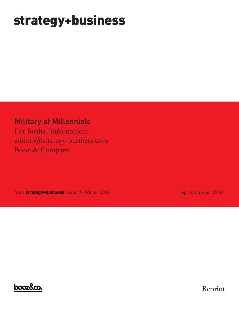# **strategy+business**

### Military of Millennials

For further information: editors@strategy-business.com Booz & Company

from **strategy+business** issue 49, Winter 2007 **reprint number 07401** reprint number 07401



Reprint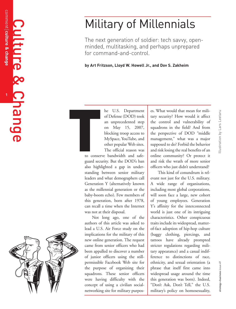# Military of Millennials

The next generation of soldier: tech savvy, openminded, multitasking, and perhaps unprepared for command-and-control.

by Art Fritzson, Lloyd W. Howell Jr., and Doy S. Zakheim

h e U.S. Department of Defense (DOD) took an unprecedented step o n May 15, 2007, blocking troop access to MySpace, YouTube, and other popular Web sites. The official reason was

**T**

to conserve bandwidth and safeguard security. But the DOD's ban also highlighted a gap in understanding between senior military leaders and what demographers call Generation Y (alternatively known as the millennial generation or the baby-boom echo). Few members of this generation, born after 1978, can recall a time when the Internet was not at their disposal.

Not long ago, one of the authors of this article was asked to lead a U.S. Air Force study on the implications for the military of this new online generation. The request c a m e fr o m s e n i o r o ffi c e r s wh o h a d been appalled to discover a number of junior officers using the stillpermissible Facebook Web site for the purpose of organizing their squadrons. These senior officers were having difficulty with the concept of using a civilian socialnetworking site for military purposes. What would that mean for military security? How would it affect the control and vulnerability of squadrons in the field? And from the perspective of DOD "middle management," what was a major supposed to do? Forbid the behavior and risk losing the real benefits of an online community? Or protect it and risk the wrath of more senior officers who just didn't understand?

This kind of conundrum is relevant not just for the U.S. military. A wide range of organizations, including most global corporations, will soon face a large, new cohort of young employees. Generation Y's affinity for the interconnected world is just one of its intriguing characteristics. Other conspicuous traits include its widespread, matterof-fact adoption of hip-hop culture (baggy clothing, piercings, and tattoos have already prompted stricter regulations regarding military appearance) and a casual indifference to distinctions of race, ethnicity, and sexual orientation (a phrase that itself first came into widespread usage around the time this generation was born). Indeed, "Don't Ask, Don't Tell," the U.S. military's policy on homosexuality,

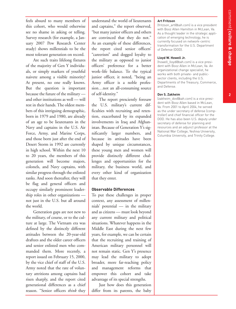**2**

feels absurd to many members of this cohort, who would otherwise see no shame in asking or telling. Survey research (for example, a January 2007 Pew Research Center study) shows millennials to be the most tolerant generation on record.

Are such traits lifelong fixtures of the majority of Gen Y individuals, or simply markers of youthful naivete among a visible minority? At present, no one really knows. But the question is important because the future of the military and other institutions as well — will rest in their hands.The oldest members of this intriguing demographic, born in 1979 and 1980, are already of an age to be lieutenants in the Navy and captains in the U.S. Air Force, Army, and Marine Corps, and those born just after the end of Desert Storm in 1992 are currently in high school. Within the next 10 to 20 years, the members of this generation will become majors, colonels, and Navy captains, with similar progress through the enlisted ranks. And soon thereafter, they will be flag and general officers and occupy similarly prominent leadership roles in other organizations not just in the U.S. but all around the world.

Generation gaps are not new to the military, of course, or to the culture at large. The Vietnam era was defined by the distinctly different attitudes between the 20-year-old draftees and the older career officers and senior enlisted men who commanded them. More recently, a report issued on February 15, 2000, by the vice chief of staff of the U.S. Army noted that the rate of voluntary attritions among captains had risen sharply, and the report cited generational differences as a chief reason. "Senior officers *think* they

understand the world of lieutenants and captains," the report observed, "but many junior officers and others are convinced that they do not." As an example of these differences, the report cited senior officers' "careerism" and dogged loyalty to the military as opposed to junior officers' preference for a better work–life balance. To the typical junior officer, it noted, "being an Army officer is a noble profession…not an all-consuming source of self-identity."

The report presciently foresaw the U.S. military's current difficulties with recruiting and retention, exacerbated by its expanded involvements in Iraq and Afghanistan. Because of Generation Y's significantly larger numbers, and because its attitudes have been shaped by unique circumstances, these young men and women will provide distinctly different challenges and opportunities for the military, the business world, and every other kind of organization that they enter.

### **Observable Differences**

To put these challenges in proper context, any assessment of millennials' potential — in the military and as citizens — must look beyond any current military and political situations. Whatever happens in the Middle East during the next few years, for example, we can be certain that the recruiting and training of American military personnel will not remain static. Gen Y's presence may lead the military to adopt broader, more far-reaching policy and management reforms that empower this cohort and take advantage of its special strengths.

Just how does this generation differ from its parents, the baby

#### **Art Fritzson**

(fritzson\_art@bah.com) is a vice president with Booz Allen Hamilton in McLean, Va. As a thought leader in the strategic application of emerging technology, he is currently focused on network-centric transformation for the U.S. Department of Defense (DOD).

#### **Lloyd W. Howell Jr.**

(howell\_lloyd@bah.com) is a vice president with Booz Allen in McLean, Va. An organizational change specialist, he works with both private- and publicsector clients, including the U.S. Departments of the Treasury, Commerce, and Defense.

#### **Dov S. Zakheim**

(zakheim\_dov@bah.com) is a vice president with Booz Allen based in McLean, Va. From 2001 to April 2004, he served as the under secretary of defense (comptroller) and chief financial officer for the DOD. He has also been U.S. deputy under secretary of defense for planning and resources and an adjunct professor at the National War College, Yeshiva University, Columbia University, and Trinity College.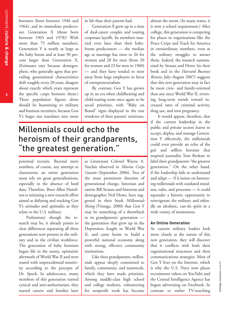com ment **culture & ch a n g e**

boomers (born between 1946 and 1964), and its immediate predecessor, Generation X (those born between 1965 and 1978)? With more than 75 million members, Generation Y is nearly as large as the baby boom and at least 50 percent larger than Generation X. (Estimates vary because demographers, who generally agree that prevailing generational characteristics shift roughly every 20 years, disagree about exactly which years represent the specific cusps between them.) These population figures alone should be heartening to military and business recruiters, because Gen Y's larger size translates into more

in life than their parents had.

Generation X grew up in a time of dual-career couples and soaring corporate layoffs. Its members married even later than their babyboom predecessors — the median age at marriage has risen to 26 for women and 28 for men (from 20 for women and 23 for men in 1960) — and they have tended to steer away from large employers in favor of entrepreneurialism.

By contrast, Gen Y has grown up in an era when childbearing and child-rearing seem once again to be social priorities, with "Baby on Board" signs displayed in the rear windows of their parents' minivans,

# Millennials could echo the heroism of their grandparents, "the greatest generation."

potential recruits. Beyond mere numbers, of course, any attempt to characterize an entire generation must rely on gross generalizations, especially in the absence of hard data. Therefore, Booz Allen Hamilton is initiating a new research effort aimed at defining and tracking Gen Y's attitudes and aptitudes as they relate to the U.S. military.

Preliminary though the research may be, it already points to clear differences separating all three generations now present in the military and in the civilian workforce. The generation of baby boomers began life in the sunny, optimistic aftermath of World War II and were reared with unprecedented sensitivity according to the precepts of Dr. Spock. In adolescence, many members of this generation turned cynical and anti-authoritarian; they started careers and families later

as Lieutenant Colonel Wayne A. Sinclair observed in *Marine Corps Gazette* (September 2006). Two of the most prominent theorists of generational change, historian and satirist Bill Strauss and historian and demographer Neil Howe, have suggested in their book *Millennials Rising* (Vintage, 2000) that Gen Y may be something of a throwback to its grandparents' generation the generation that grew up in the Depression, fought in World War II, and came home to build a powerful national economy along with strong, effective community institutions.

Like their grandparents, millennials appear deeply committed to family, community, and teamwork, which they have made priorities. Among middle-class high school and college students, volunteering for nonprofit work has become almost the norm. (In many states, it is now a school requirement.) After college, this generation is competing for places in organizations like the Peace Corps and Teach for America in extraordinary numbers, even as the military struggles to attract them. Indeed, the research summarized by Strauss and Howe (in their book and in the *Harvard Business Review,* July–August 2007) suggests that this new generation may in fact be more civic- and family-oriented than any since World War II, reversing long-term trends toward increased rates of criminal activity, drug use, and teen pregnancy.

It would appear, therefore, that if the current leadership in the public and private sectors learns to accept, deploy, and manage Generation Y effectively, the millennials could even provide an echo of the grit and selfless heroism that inspired journalist Tom Brokaw to label their grandparents "the greatest generation." On the other hand, if the leadership fails to understand and adapt — if it insists on harnessing millennials with outdated mindsets, rules, and processes — it could squander a historic opportunity to reinvigorate the military and rekindle an idealistic, can-do spirit in a wide variety of institutions.

### **An Online Generation**

As current military leaders look more closely at the nature of this new generation, they will discover that it conflicts with both their organizational structures and their communications strategies. Most of Gen Y lives on the Internet, which is why the U.S. Navy now places recruitment videos on YouTube and the Central Intelligence Agency has begun advertising on Facebook. In contrast to earlier TV-watching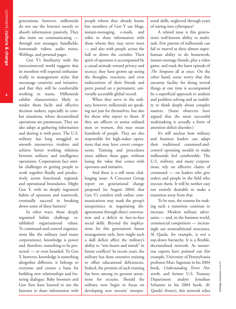**4**

generations, however, millennials do not use the Internet merely to absorb information passively. They also insist on communicating through text messages, handhelds, homemade videos, audio mixes, Weblogs, and personal pages.

Gen Y's familiarity with the interconnected world suggests that its members will respond enthusiastically to management styles that encourage creativity and initiative, and that they will be comfortable working in teams. Millennials exhibit characteristics likely to render them facile and effective decision makers, especially in combat situations, where decentralized operations are paramount. They are also adept at gathering information and sharing it with peers. The U.S. military has long struggled to smooth interservice rivalries and achieve better working relations between military and intelligence operations. Corporations face similar challenges in getting people to work together fluidly and productively across functional, regional, and operational boundaries. Might Gen Y, with its deeply ingrained habits of openness and teamwork, eventually succeed in breaking down some of these barriers?

In other ways, those deeply ingrained habits challenge established organizational values. To command-and-control organizations like the military (and many corporations), knowledge is power and, therefore, something to be protected — or even hoarded. To Gen Y, however, knowledge is something altogether different; it belongs to everyone and creates a basis for building new relationships and fostering dialogue. Baby boomers and Gen Xers have learned to use the Internet to share information with

people whom they already know, but members of Gen Y use blogs, instant-messaging, e-mails, and wikis to share information with those whom they may never meet — and also with people across the hall or down the corridor. Their spirit of openness is accompanied by a casual attitude toward privacy and secrecy; they have grown up seeing the thoughts, reactions, and even indiscretions of their friends and peers posted on a permanent, universally accessible global record.

When they serve in the military, however, millennials are speaking not just for themselves, but also for those who report to them. If they are officers or senior enlisted men or women, this may mean hundreds of people. They are also responsible for high-stakes operations that may have covert components. Training and procedures must address these gaps, without losing the value that comes with openness and initiative.

And there is a still more challenging issue: A Concours Group report on generational change proposed (in August 2004) that Gen Y's comfort with online communications may mask the group's inexperience in negotiating disagreements through direct conversation and a deficit in face-to-face social skills. Beyond the implications for this generation's future management style, how might such a skill deficit affect the military's ability to "win hearts and minds" in future conflicts? In recent years, the military has done extensive training to offset educational deficiencies. Indeed, the promise of such training has been among its greatest attractions for recruits. Should the military now begin to focus on developing new recruits' interpersonal skills, neglected through years of staring into cyberspace?

A related issue is this generation's well-known ability to multitask. Few parents of millennials can fail to marvel at their almost superhuman ability to do homework, instant-message friends, play a video game, and track the latest episode of *The Simpsons* all at once. On the other hand, some worry that this uncanny facility for doing several things at one time is accompanied by a superficial approach to analysis and problem solving and an inability to think deeply about complex matters. (Some observers have argued that the most successful multitasking is actually a form of attention deficit disorder.)

It's still unclear how military and business leaders can adapt their traditional command-andcontrol operating models to make millennials feel comfortable. The U.S. military, and many corporations, rely on effective chains of command — on leaders who give orders and people in the field who execute them. It will be neither easy nor entirely desirable to make a transition away from that.

To be sure, the reasons for making such a transition continue to increase. Modern military adversaries — and, in the business world, commercial competitors — increasingly use nontraditional structures. Al Qaeda, for example, is not a top-down hierarchy. It is a flexible, decentralized network. As numerous experts have pointed out (for example, University of Pennsylvania professor Marc Sageman in his 2004 book, *Understanding Terror Networks,* and former U.S. Treasury Department analyst Jonathan Schanzer in his 2004 book, *Al-Qaeda's Armies*), this network relies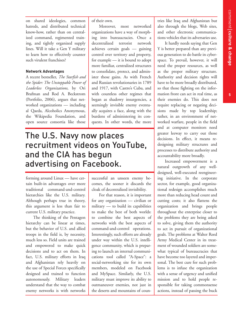**5**

on shared ideologies, common hatreds, and distributed technical know-how, rather than on centralized command, regimented training, and tightly organized supply lines. Will it take a Gen Y military to learn how to effectively counter such virulent franchises?

### **Network Advantages**

A recent bestseller, *The Starfish and the Spider: The Unstoppable Power of Leaderless Organizations,* by Ori Brafman and Rod A. Beckstrom (Portfolio, 2006), argues that networked organizations — including al Qaeda, Alcoholics Anonymous, the Wikipedia Foundation, and open source consortia like those

of their own.

Moreover, most networked organizations have a way of morphing into bureaucracies. Once a decentralized terrorist network achieves certain goals — gaining control over territory and property, for example — it is bound to adopt more familiar, centralized structures to consolidate, protect, and administer those gains. As with French and Russian revolutionaries in 1789 and 1917, with Castro's Cuba, and with countless other regimes that began as shadowy insurgencies, a seemingly invisible enemy eventually acquires a face, along with the burdens of administering its conquests. In other words, the more

## The U.S. Navy now places recruitment videos on YouTube, and the CIA has begun advertising on Facebook.

forming around Linux — have certain built-in advantages over more traditional command-and-control hierarchies like the U.S. military. Although perhaps true in theory, this argument is less than fair to current U.S. military practice.

The thinking of the Pentagon hierarchy can be linear at times, but the behavior of U.S. and allied troops in the field is, by necessity, much less so. Field units are trained and empowered to make quick decisions and to act on them. In fact, U.S. military efforts in Iraq and Afghanistan rely heavily on the use of Special Forces specifically designed and trained to function autonomously. Military leaders understand that the way to combat enemy networks is with networks

successful an unseen enemy becomes, the sooner it discards the cloak of decentralized invisibility.

For that reason, it is important for any organization — civilian or military — to build its capabilities to make the best of both worlds: to combine the best aspects of networks with the best aspects of command-and-control operations. Interestingly, such efforts are already under way within the U.S. intelligence community, which is preparing to launch an internal communications tool called "A-Space": a social-networking site for its own members, modeled on Facebook and MySpace. Similarly, the U.S. military must improve its ability to outmaneuver enemies, not just in the deserts and mountains of countries like Iraq and Afghanistan but also through the blogs, Web sites, and other electronic communications vehicles that its adversaries use.

It hardly needs saying that Gen Y is better prepared than any previous generation to do battle in cyberspace. To prevail, however, it will need the proper resources, as well as the proper military structure. Authority and decision rights will have to be more broadly distributed, so that those fighting on the information front can act in real time, as their enemies do. This does not require replacing or negating decisions made by top leadership; rather, in an environment of networked warfare, people in the field and at computer monitors need greater leeway to carry out those decisions. In effect, it means redesigning military structures and processes to distribute authority and accountability more broadly.

Increased empowerment is a natural outgrowth of any welldesigned, well-executed reengineering initiative. In the corporate sector, for example, good organizational redesign accomplishes much more than reducing head count and cutting costs; it also flattens the organization and brings people throughout the enterprise closer to the problems they are being asked to solve, giving them the authority to act in pursuit of organizational goals. The problems at Walter Reed Army Medical Center in its treatment of wounded soldiers are somewhat typical of bureaucracies that have become too layered and impersonal. The best cure for such problems is to infuse the organization with a sense of urgency and unified mission and to hold people responsible for taking commonsense actions, instead of passing the buck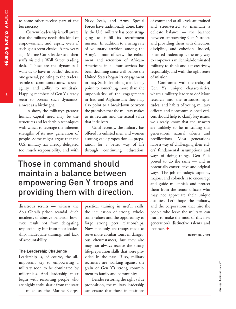to some other faceless part of the bureaucracy.

Current leadership is well aware that the military needs this kind of empowerment and esprit, even if such goals seem elusive. A few years ago, Marine Corps leaders and their staffs visited a Wall Street trading desk. "These are the dynamics I want us to have in battle," declared one general, pointing to the traders' seamless communications, speed, agility, and ability to multitask. Happily, members of Gen Y already seem to possess such dynamics, almost as a birthright.

In short, the military's greatest human capital need may be the structures and leadership techniques with which to leverage the inherent strengths of its new generation of people. Some might argue that the U.S. military has already delegated too much responsibility, and with

Navy Seals, and Army Special Forces have traditionally done. Lately, the U.S. military has been struggling to fulfill its recruitment mission. In addition to a rising rate of voluntary attrition among the Army's junior officers, the enlistment and retention of African-Americans in all four services has been declining since well before the United States began its engagement in Iraq. Such disturbing trends may point to something more than the unpopularity of the engagements in Iraq and Afghanistan; they may also point to a breakdown between the promises that the military makes to its recruits and the actual value that it delivers.

Until recently, the military has offered its enlisted men and women a strong value proposition — preparation for a better way of life through continuing education;

# Those in command should maintain a balance between empowering Gen Y troops and providing them with direction.

disastrous results — witness the Abu Ghraib prison scandal. Such incidents of abusive behavior, however, result not from delegating responsibility but from poor leadership, inadequate training, and lack of accountability.

#### **The Leadership Challenge**

Leadership is, of course, the allimportant key to empowering a military soon to be dominated by millennials. And leadership must begin with recruiting people who are highly enthusiastic from the start — much as the Marine Corps,

practical training in useful skills; the inculcation of strong, wholesome values; and the opportunity to forge strong peer relationships. Now, not only are troops made to serve more combat tours in dangerous circumstances, but they also may not always receive the strong life-preparation skills that were provided in the past. If so, military recruiters are working against the grain of Gen Y's strong commitment to family and community.

Besides restoring the right value proposition, the military leadership can ensure that those in positions

of command at all levels are trained and stress-tested to maintain a delicate balance — the balance between empowering Gen Y troops and providing them with direction, discipline, and cohesion. Indeed, balanced leadership is the only way to empower a millennial-dominated military to think and act creatively, responsibly, and with the right sense of mission.

Confronted with the reality of Gen Y's unique characteristics, what's a military leader to do? More research into the attitudes, aptitudes, and habits of young military officers and noncommissioned officers should help to clarify key issues; we already know that the answers are unlikely to lie in stifling this generation's natural talents and predilections. Most generations have a way of challenging their elders' fundamental assumptions and ways of doing things. Gen Y is poised to do the same — and in potentially constructive and original ways. The job of today's captains, majors, and colonels is to encourage and guide millennials and protect them from the senior officers who may not appreciate their unique qualities. Let's hope the military, and the corporations that hire the people who leave the military, can learn to make the most of this new generation's distinctive talents and instincts. **+**

Reprint No. 07401